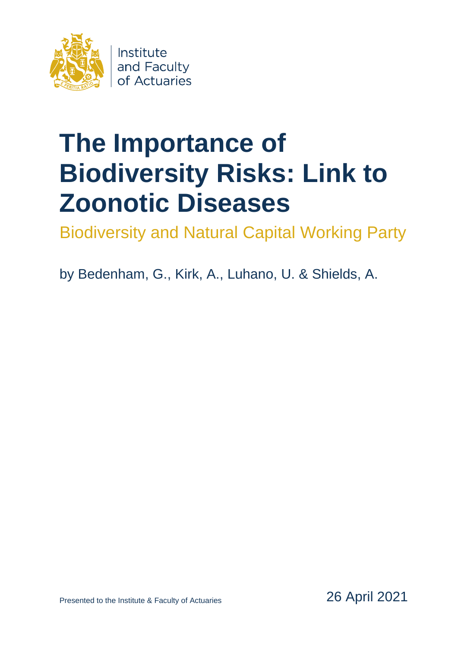

# **The Importance of Biodiversity Risks: Link to Zoonotic Diseases**

Biodiversity and Natural Capital Working Party

by Bedenham, G., Kirk, A., Luhano, U. & Shields, A.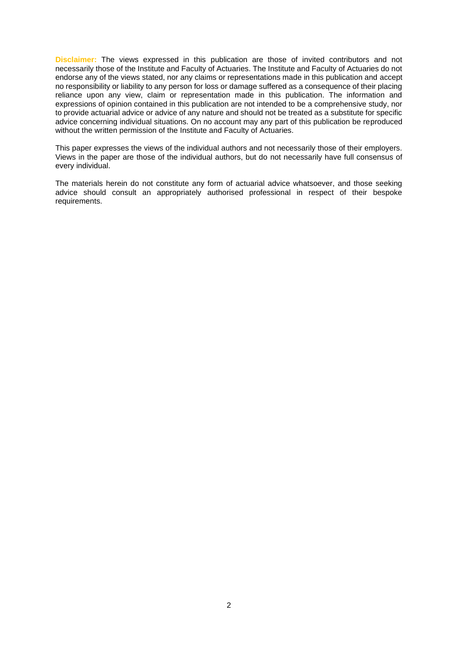**Disclaimer:** The views expressed in this publication are those of invited contributors and not necessarily those of the Institute and Faculty of Actuaries. The Institute and Faculty of Actuaries do not endorse any of the views stated, nor any claims or representations made in this publication and accept no responsibility or liability to any person for loss or damage suffered as a consequence of their placing reliance upon any view, claim or representation made in this publication. The information and expressions of opinion contained in this publication are not intended to be a comprehensive study, nor to provide actuarial advice or advice of any nature and should not be treated as a substitute for specific advice concerning individual situations. On no account may any part of this publication be reproduced without the written permission of the Institute and Faculty of Actuaries.

This paper expresses the views of the individual authors and not necessarily those of their employers. Views in the paper are those of the individual authors, but do not necessarily have full consensus of every individual.

The materials herein do not constitute any form of actuarial advice whatsoever, and those seeking advice should consult an appropriately authorised professional in respect of their bespoke requirements.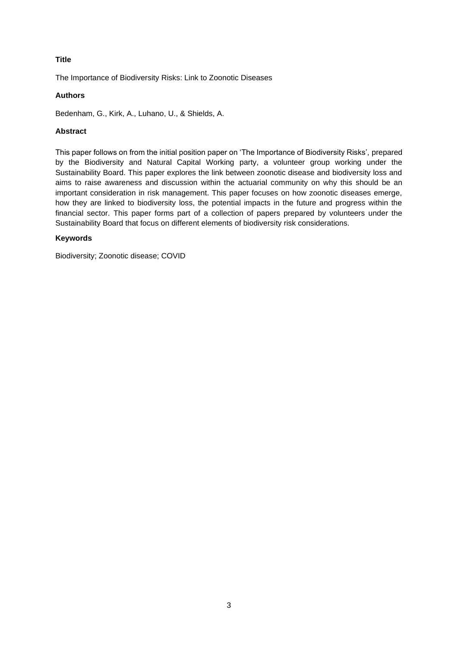# **Title**

The Importance of Biodiversity Risks: Link to Zoonotic Diseases

## **Authors**

Bedenham, G., Kirk, A., Luhano, U., & Shields, A.

# **Abstract**

This paper follows on from the initial position paper on 'The Importance of Biodiversity Risks', prepared by the Biodiversity and Natural Capital Working party, a volunteer group working under the Sustainability Board. This paper explores the link between zoonotic disease and biodiversity loss and aims to raise awareness and discussion within the actuarial community on why this should be an important consideration in risk management. This paper focuses on how zoonotic diseases emerge, how they are linked to biodiversity loss, the potential impacts in the future and progress within the financial sector. This paper forms part of a collection of papers prepared by volunteers under the Sustainability Board that focus on different elements of biodiversity risk considerations.

### **Keywords**

Biodiversity; Zoonotic disease; COVID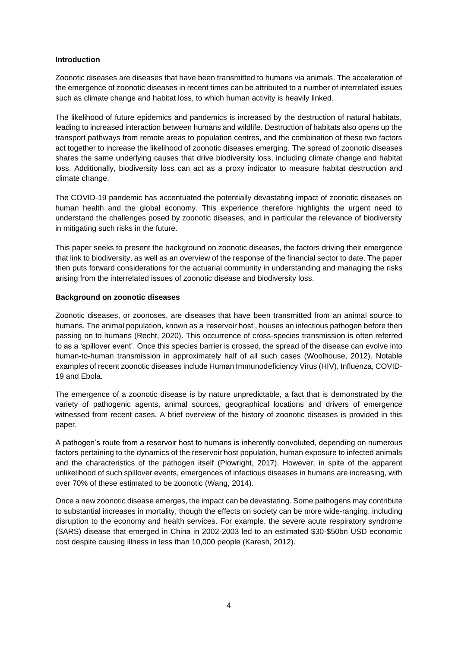# **Introduction**

Zoonotic diseases are diseases that have been transmitted to humans via animals. The acceleration of the emergence of zoonotic diseases in recent times can be attributed to a number of interrelated issues such as climate change and habitat loss, to which human activity is heavily linked.

The likelihood of future epidemics and pandemics is increased by the destruction of natural habitats, leading to increased interaction between humans and wildlife. Destruction of habitats also opens up the transport pathways from remote areas to population centres, and the combination of these two factors act together to increase the likelihood of zoonotic diseases emerging. The spread of zoonotic diseases shares the same underlying causes that drive biodiversity loss, including climate change and habitat loss. Additionally, biodiversity loss can act as a proxy indicator to measure habitat destruction and climate change.

The COVID-19 pandemic has accentuated the potentially devastating impact of zoonotic diseases on human health and the global economy. This experience therefore highlights the urgent need to understand the challenges posed by zoonotic diseases, and in particular the relevance of biodiversity in mitigating such risks in the future.

This paper seeks to present the background on zoonotic diseases, the factors driving their emergence that link to biodiversity, as well as an overview of the response of the financial sector to date. The paper then puts forward considerations for the actuarial community in understanding and managing the risks arising from the interrelated issues of zoonotic disease and biodiversity loss.

# **Background on zoonotic diseases**

Zoonotic diseases, or zoonoses, are diseases that have been transmitted from an animal source to humans. The animal population, known as a 'reservoir host', houses an infectious pathogen before then passing on to humans (Recht, 2020). This occurrence of cross-species transmission is often referred to as a 'spillover event'. Once this species barrier is crossed, the spread of the disease can evolve into human-to-human transmission in approximately half of all such cases (Woolhouse, 2012). Notable examples of recent zoonotic diseases include Human Immunodeficiency Virus (HIV), Influenza, COVID-19 and Ebola.

The emergence of a zoonotic disease is by nature unpredictable, a fact that is demonstrated by the variety of pathogenic agents, animal sources, geographical locations and drivers of emergence witnessed from recent cases. A brief overview of the history of zoonotic diseases is provided in this paper.

A pathogen's route from a reservoir host to humans is inherently convoluted, depending on numerous factors pertaining to the dynamics of the reservoir host population, human exposure to infected animals and the characteristics of the pathogen itself (Plowright, 2017). However, in spite of the apparent unlikelihood of such spillover events, emergences of infectious diseases in humans are increasing, with over 70% of these estimated to be zoonotic (Wang, 2014).

Once a new zoonotic disease emerges, the impact can be devastating. Some pathogens may contribute to substantial increases in mortality, though the effects on society can be more wide-ranging, including disruption to the economy and health services. For example, the severe acute respiratory syndrome (SARS) disease that emerged in China in 2002-2003 led to an estimated \$30-\$50bn USD economic cost despite causing illness in less than 10,000 people (Karesh, 2012).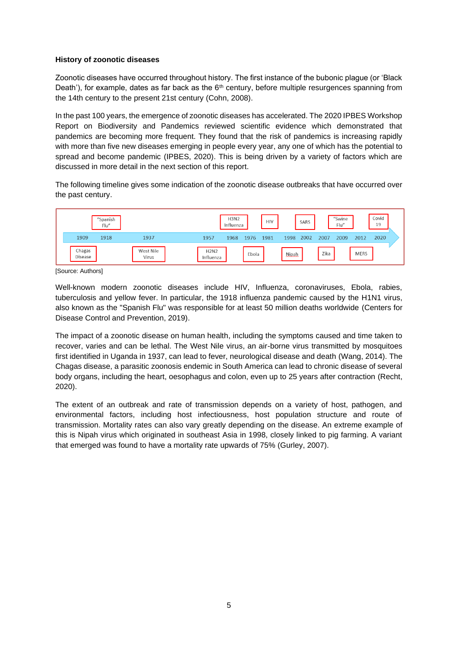## **History of zoonotic diseases**

Zoonotic diseases have occurred throughout history. The first instance of the bubonic plague (or 'Black Death'), for example, dates as far back as the  $6<sup>th</sup>$  century, before multiple resurgences spanning from the 14th century to the present 21st century (Cohn, 2008).

In the past 100 years, the emergence of zoonotic diseases has accelerated. The 2020 IPBES Workshop Report on Biodiversity and Pandemics reviewed scientific evidence which demonstrated that pandemics are becoming more frequent. They found that the risk of pandemics is increasing rapidly with more than five new diseases emerging in people every year, any one of which has the potential to spread and become pandemic (IPBES, 2020). This is being driven by a variety of factors which are discussed in more detail in the next section of this report.

The following timeline gives some indication of the zoonotic disease outbreaks that have occurred over the past century.

| "Spanish<br>Flu"  |      |                    | <b>H3N2</b><br>Influenza |      |       | <b>HIV</b><br>SARS |              |      | "Swine<br>Flu" |      |             | Covid<br>19 |  |  |
|-------------------|------|--------------------|--------------------------|------|-------|--------------------|--------------|------|----------------|------|-------------|-------------|--|--|
| 1909              | 1918 | 1937               | 1957                     | 1968 | 1976  | 1981               | 1998         | 2002 | 2007           | 2009 | 2012        | 2020        |  |  |
| Chagas<br>Disease |      | West Nile<br>Virus | <b>H2N2</b><br>Influenza |      | Ebola |                    | <b>Nipah</b> |      | Zika           |      | <b>MERS</b> |             |  |  |

[Source: Authors]

Well-known modern zoonotic diseases include HIV, Influenza, coronaviruses, Ebola, rabies, tuberculosis and yellow fever. In particular, the 1918 influenza pandemic caused by the H1N1 virus, also known as the "Spanish Flu" was responsible for at least 50 million deaths worldwide (Centers for Disease Control and Prevention, 2019).

The impact of a zoonotic disease on human health, including the symptoms caused and time taken to recover, varies and can be lethal. The West Nile virus, an air-borne virus transmitted by mosquitoes first identified in Uganda in 1937, can lead to fever, neurological disease and death (Wang, 2014). The Chagas disease, a parasitic zoonosis endemic in South America can lead to chronic disease of several body organs, including the heart, oesophagus and colon, even up to 25 years after contraction (Recht, 2020).

The extent of an outbreak and rate of transmission depends on a variety of host, pathogen, and environmental factors, including host infectiousness, host population structure and route of transmission. Mortality rates can also vary greatly depending on the disease. An extreme example of this is Nipah virus which originated in southeast Asia in 1998, closely linked to pig farming. A variant that emerged was found to have a mortality rate upwards of 75% (Gurley, 2007).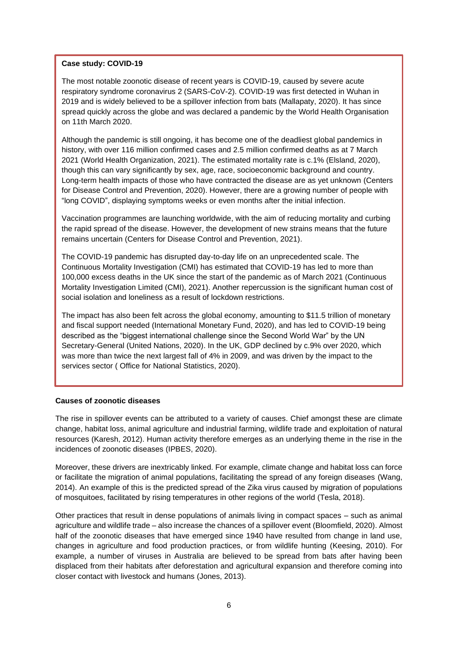### **Case study: COVID-19**

The most notable zoonotic disease of recent years is COVID-19, caused by severe acute respiratory syndrome coronavirus 2 (SARS-CoV-2). COVID-19 was first detected in Wuhan in 2019 and is widely believed to be a spillover infection from bats (Mallapaty, 2020). It has since spread quickly across the globe and was declared a pandemic by the World Health Organisation on 11th March 2020.

Although the pandemic is still ongoing, it has become one of the deadliest global pandemics in history, with over 116 million confirmed cases and 2.5 million confirmed deaths as at 7 March 2021 (World Health Organization, 2021). The estimated mortality rate is c.1% (Elsland, 2020), though this can vary significantly by sex, age, race, socioeconomic background and country. Long-term health impacts of those who have contracted the disease are as yet unknown (Centers for Disease Control and Prevention, 2020). However, there are a growing number of people with "long COVID", displaying symptoms weeks or even months after the initial infection.

Vaccination programmes are launching worldwide, with the aim of reducing mortality and curbing the rapid spread of the disease. However, the development of new strains means that the future remains uncertain (Centers for Disease Control and Prevention, 2021).

The COVID-19 pandemic has disrupted day-to-day life on an unprecedented scale. The Continuous Mortality Investigation (CMI) has estimated that COVID-19 has led to more than 100,000 excess deaths in the UK since the start of the pandemic as of March 2021 (Continuous Mortality Investigation Limited (CMI), 2021). Another repercussion is the significant human cost of social isolation and loneliness as a result of lockdown restrictions.

The impact has also been felt across the global economy, amounting to \$11.5 trillion of monetary and fiscal support needed (International Monetary Fund, 2020), and has led to COVID-19 being described as the "biggest international challenge since the Second World War" by the UN Secretary-General (United Nations, 2020). In the UK, GDP declined by c.9% over 2020, which was more than twice the next largest fall of 4% in 2009, and was driven by the impact to the services sector ( Office for National Statistics, 2020).

# **Causes of zoonotic diseases**

The rise in spillover events can be attributed to a variety of causes. Chief amongst these are climate change, habitat loss, animal agriculture and industrial farming, wildlife trade and exploitation of natural resources (Karesh, 2012). Human activity therefore emerges as an underlying theme in the rise in the incidences of zoonotic diseases (IPBES, 2020).

Moreover, these drivers are inextricably linked. For example, climate change and habitat loss can force or facilitate the migration of animal populations, facilitating the spread of any foreign diseases (Wang, 2014). An example of this is the predicted spread of the Zika virus caused by migration of populations of mosquitoes, facilitated by rising temperatures in other regions of the world (Tesla, 2018).

Other practices that result in dense populations of animals living in compact spaces – such as animal agriculture and wildlife trade – also increase the chances of a spillover event (Bloomfield, 2020). Almost half of the zoonotic diseases that have emerged since 1940 have resulted from change in land use, changes in agriculture and food production practices, or from wildlife hunting (Keesing, 2010). For example, a number of viruses in Australia are believed to be spread from bats after having been displaced from their habitats after deforestation and agricultural expansion and therefore coming into closer contact with livestock and humans (Jones, 2013).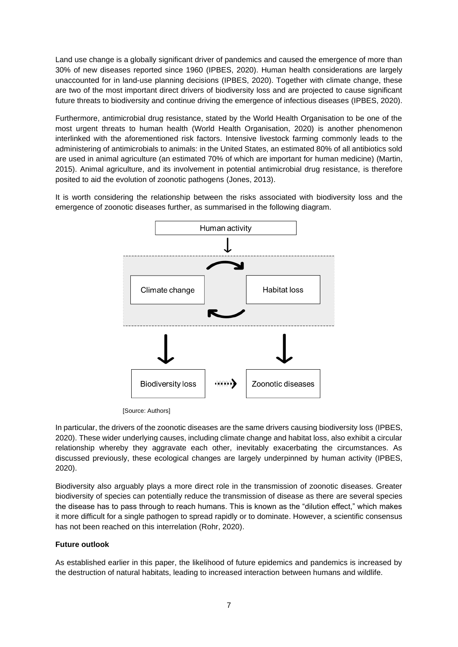Land use change is a globally significant driver of pandemics and caused the emergence of more than 30% of new diseases reported since 1960 (IPBES, 2020). Human health considerations are largely unaccounted for in land-use planning decisions (IPBES, 2020). Together with climate change, these are two of the most important direct drivers of biodiversity loss and are projected to cause significant future threats to biodiversity and continue driving the emergence of infectious diseases (IPBES, 2020).

Furthermore, antimicrobial drug resistance, stated by the World Health Organisation to be one of the most urgent threats to human health (World Health Organisation, 2020) is another phenomenon interlinked with the aforementioned risk factors. Intensive livestock farming commonly leads to the administering of antimicrobials to animals: in the United States, an estimated 80% of all antibiotics sold are used in animal agriculture (an estimated 70% of which are important for human medicine) (Martin, 2015). Animal agriculture, and its involvement in potential antimicrobial drug resistance, is therefore posited to aid the evolution of zoonotic pathogens (Jones, 2013).

It is worth considering the relationship between the risks associated with biodiversity loss and the emergence of zoonotic diseases further, as summarised in the following diagram.



[Source: Authors]

In particular, the drivers of the zoonotic diseases are the same drivers causing biodiversity loss (IPBES, 2020). These wider underlying causes, including climate change and habitat loss, also exhibit a circular relationship whereby they aggravate each other, inevitably exacerbating the circumstances. As discussed previously, these ecological changes are largely underpinned by human activity (IPBES, 2020).

Biodiversity also arguably plays a more direct role in the transmission of zoonotic diseases. Greater biodiversity of species can potentially reduce the transmission of disease as there are several species the disease has to pass through to reach humans. This is known as the "dilution effect," which makes it more difficult for a single pathogen to spread rapidly or to dominate. However, a scientific consensus has not been reached on this interrelation (Rohr, 2020).

# **Future outlook**

As established earlier in this paper, the likelihood of future epidemics and pandemics is increased by the destruction of natural habitats, leading to increased interaction between humans and wildlife.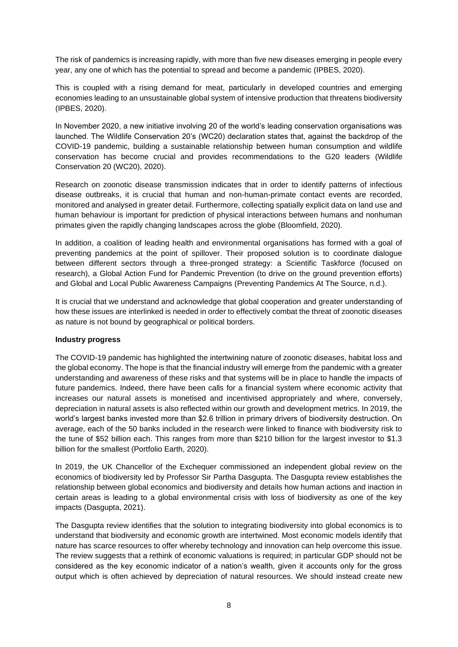The risk of pandemics is increasing rapidly, with more than five new diseases emerging in people every year, any one of which has the potential to spread and become a pandemic (IPBES, 2020).

This is coupled with a rising demand for meat, particularly in developed countries and emerging economies leading to an unsustainable global system of intensive production that threatens biodiversity (IPBES, 2020).

In November 2020, a new initiative involving 20 of the world's leading conservation organisations was launched. The Wildlife Conservation 20's (WC20) declaration states that, against the backdrop of the COVID-19 pandemic, building a sustainable relationship between human consumption and wildlife conservation has become crucial and provides recommendations to the G20 leaders (Wildlife Conservation 20 (WC20), 2020).

Research on zoonotic disease transmission indicates that in order to identify patterns of infectious disease outbreaks, it is crucial that human and non-human-primate contact events are recorded, monitored and analysed in greater detail. Furthermore, collecting spatially explicit data on land use and human behaviour is important for prediction of physical interactions between humans and nonhuman primates given the rapidly changing landscapes across the globe (Bloomfield, 2020).

In addition, a coalition of leading health and environmental organisations has formed with a goal of preventing pandemics at the point of spillover. Their proposed solution is to coordinate dialogue between different sectors through a three-pronged strategy: a Scientific Taskforce (focused on research), a Global Action Fund for Pandemic Prevention (to drive on the ground prevention efforts) and Global and Local Public Awareness Campaigns (Preventing Pandemics At The Source, n.d.).

It is crucial that we understand and acknowledge that global cooperation and greater understanding of how these issues are interlinked is needed in order to effectively combat the threat of zoonotic diseases as nature is not bound by geographical or political borders.

# **Industry progress**

The COVID-19 pandemic has highlighted the intertwining nature of zoonotic diseases, habitat loss and the global economy. The hope is that the financial industry will emerge from the pandemic with a greater understanding and awareness of these risks and that systems will be in place to handle the impacts of future pandemics. Indeed, there have been calls for a financial system where economic activity that increases our natural assets is monetised and incentivised appropriately and where, conversely, depreciation in natural assets is also reflected within our growth and development metrics. In 2019, the world's largest banks invested more than \$2.6 trillion in primary drivers of biodiversity destruction. On average, each of the 50 banks included in the research were linked to finance with biodiversity risk to the tune of \$52 billion each. This ranges from more than \$210 billion for the largest investor to \$1.3 billion for the smallest (Portfolio Earth, 2020).

In 2019, the UK Chancellor of the Exchequer commissioned an independent global review on the economics of biodiversity led by Professor Sir Partha Dasgupta. The Dasgupta review establishes the relationship between global economics and biodiversity and details how human actions and inaction in certain areas is leading to a global environmental crisis with loss of biodiversity as one of the key impacts (Dasgupta, 2021).

The Dasgupta review identifies that the solution to integrating biodiversity into global economics is to understand that biodiversity and economic growth are intertwined. Most economic models identify that nature has scarce resources to offer whereby technology and innovation can help overcome this issue. The review suggests that a rethink of economic valuations is required; in particular GDP should not be considered as the key economic indicator of a nation's wealth, given it accounts only for the gross output which is often achieved by depreciation of natural resources. We should instead create new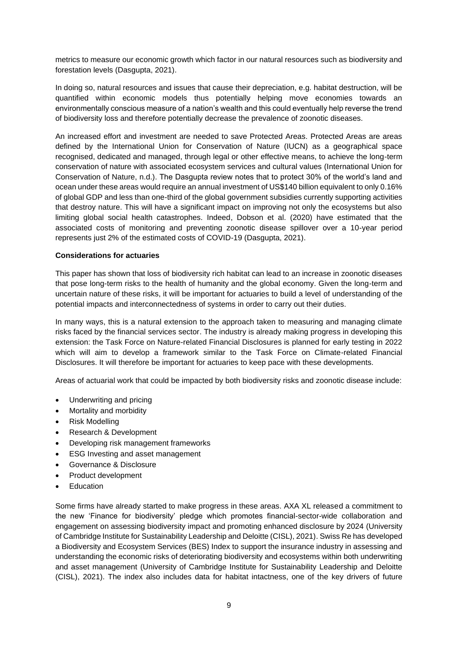metrics to measure our economic growth which factor in our natural resources such as biodiversity and forestation levels (Dasgupta, 2021).

In doing so, natural resources and issues that cause their depreciation, e.g. habitat destruction, will be quantified within economic models thus potentially helping move economies towards an environmentally conscious measure of a nation's wealth and this could eventually help reverse the trend of biodiversity loss and therefore potentially decrease the prevalence of zoonotic diseases.

An increased effort and investment are needed to save Protected Areas. Protected Areas are areas defined by the International Union for Conservation of Nature (IUCN) as a geographical space recognised, dedicated and managed, through legal or other effective means, to achieve the long-term conservation of nature with associated ecosystem services and cultural values (International Union for Conservation of Nature, n.d.). The Dasgupta review notes that to protect 30% of the world's land and ocean under these areas would require an annual investment of US\$140 billion equivalent to only 0.16% of global GDP and less than one-third of the global government subsidies currently supporting activities that destroy nature. This will have a significant impact on improving not only the ecosystems but also limiting global social health catastrophes. Indeed, Dobson et al. (2020) have estimated that the associated costs of monitoring and preventing zoonotic disease spillover over a 10-year period represents just 2% of the estimated costs of COVID-19 (Dasgupta, 2021).

# **Considerations for actuaries**

This paper has shown that loss of biodiversity rich habitat can lead to an increase in zoonotic diseases that pose long-term risks to the health of humanity and the global economy. Given the long-term and uncertain nature of these risks, it will be important for actuaries to build a level of understanding of the potential impacts and interconnectedness of systems in order to carry out their duties.

In many ways, this is a natural extension to the approach taken to measuring and managing climate risks faced by the financial services sector. The industry is already making progress in developing this extension: the Task Force on Nature-related Financial Disclosures is planned for early testing in 2022 which will aim to develop a framework similar to the Task Force on Climate-related Financial Disclosures. It will therefore be important for actuaries to keep pace with these developments.

Areas of actuarial work that could be impacted by both biodiversity risks and zoonotic disease include:

- Underwriting and pricing
- Mortality and morbidity
- Risk Modelling
- Research & Development
- Developing risk management frameworks
- **ESG Investing and asset management**
- Governance & Disclosure
- Product development
- **Education**

Some firms have already started to make progress in these areas. AXA XL released a commitment to the new 'Finance for biodiversity' pledge which promotes financial-sector-wide collaboration and engagement on assessing biodiversity impact and promoting enhanced disclosure by 2024 (University of Cambridge Institute for Sustainability Leadership and Deloitte (CISL), 2021). Swiss Re has developed a Biodiversity and Ecosystem Services (BES) Index to support the insurance industry in assessing and understanding the economic risks of deteriorating biodiversity and ecosystems within both underwriting and asset management (University of Cambridge Institute for Sustainability Leadership and Deloitte (CISL), 2021). The index also includes data for habitat intactness, one of the key drivers of future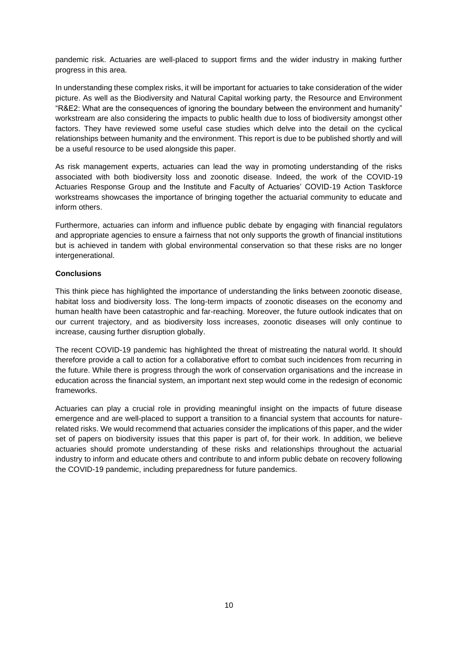pandemic risk. Actuaries are well-placed to support firms and the wider industry in making further progress in this area.

In understanding these complex risks, it will be important for actuaries to take consideration of the wider picture. As well as the Biodiversity and Natural Capital working party, the Resource and Environment "R&E2: What are the consequences of ignoring the boundary between the environment and humanity" workstream are also considering the impacts to public health due to loss of biodiversity amongst other factors. They have reviewed some useful case studies which delve into the detail on the cyclical relationships between humanity and the environment. This report is due to be published shortly and will be a useful resource to be used alongside this paper.

As risk management experts, actuaries can lead the way in promoting understanding of the risks associated with both biodiversity loss and zoonotic disease. Indeed, the work of the COVID-19 Actuaries Response Group and the Institute and Faculty of Actuaries' COVID-19 Action Taskforce workstreams showcases the importance of bringing together the actuarial community to educate and inform others.

Furthermore, actuaries can inform and influence public debate by engaging with financial regulators and appropriate agencies to ensure a fairness that not only supports the growth of financial institutions but is achieved in tandem with global environmental conservation so that these risks are no longer intergenerational.

# **Conclusions**

This think piece has highlighted the importance of understanding the links between zoonotic disease, habitat loss and biodiversity loss. The long-term impacts of zoonotic diseases on the economy and human health have been catastrophic and far-reaching. Moreover, the future outlook indicates that on our current trajectory, and as biodiversity loss increases, zoonotic diseases will only continue to increase, causing further disruption globally.

The recent COVID-19 pandemic has highlighted the threat of mistreating the natural world. It should therefore provide a call to action for a collaborative effort to combat such incidences from recurring in the future. While there is progress through the work of conservation organisations and the increase in education across the financial system, an important next step would come in the redesign of economic frameworks.

Actuaries can play a crucial role in providing meaningful insight on the impacts of future disease emergence and are well-placed to support a transition to a financial system that accounts for naturerelated risks. We would recommend that actuaries consider the implications of this paper, and the wider set of papers on biodiversity issues that this paper is part of, for their work. In addition, we believe actuaries should promote understanding of these risks and relationships throughout the actuarial industry to inform and educate others and contribute to and inform public debate on recovery following the COVID-19 pandemic, including preparedness for future pandemics.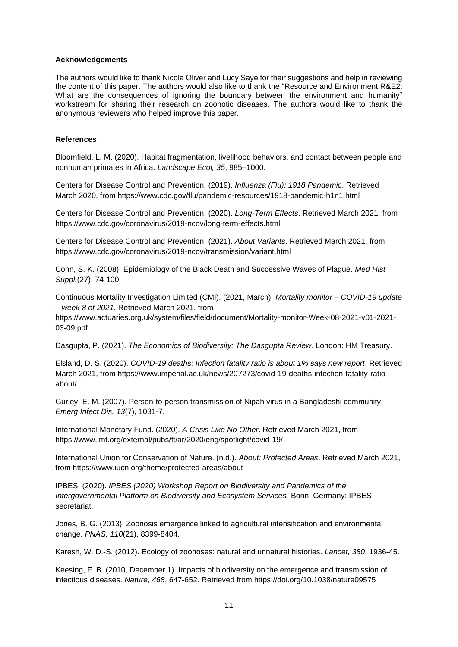#### **Acknowledgements**

The authors would like to thank Nicola Oliver and Lucy Saye for their suggestions and help in reviewing the content of this paper. The authors would also like to thank the "Resource and Environment R&E2: What are the consequences of ignoring the boundary between the environment and humanity" workstream for sharing their research on zoonotic diseases. The authors would like to thank the anonymous reviewers who helped improve this paper.

### **References**

Bloomfield, L. M. (2020). Habitat fragmentation, livelihood behaviors, and contact between people and nonhuman primates in Africa. *Landscape Ecol, 35*, 985–1000.

Centers for Disease Control and Prevention. (2019). *Influenza (Flu): 1918 Pandemic*. Retrieved March 2020, from https://www.cdc.gov/flu/pandemic-resources/1918-pandemic-h1n1.html

Centers for Disease Control and Prevention. (2020). *Long-Term Effects*. Retrieved March 2021, from https://www.cdc.gov/coronavirus/2019-ncov/long-term-effects.html

Centers for Disease Control and Prevention. (2021). *About Variants*. Retrieved March 2021, from https://www.cdc.gov/coronavirus/2019-ncov/transmission/variant.html

Cohn, S. K. (2008). Epidemiology of the Black Death and Successive Waves of Plague. *Med Hist Suppl.*(27), 74-100.

Continuous Mortality Investigation Limited (CMI). (2021, March). *Mortality monitor – COVID-19 update – week 8 of 2021.* Retrieved March 2021, from

https://www.actuaries.org.uk/system/files/field/document/Mortality-monitor-Week-08-2021-v01-2021- 03-09.pdf

Dasgupta, P. (2021). *The Economics of Biodiversity: The Dasgupta Review.* London: HM Treasury.

Elsland, D. S. (2020). *COVID-19 deaths: Infection fatality ratio is about 1% says new report*. Retrieved March 2021, from https://www.imperial.ac.uk/news/207273/covid-19-deaths-infection-fatality-ratioabout/

Gurley, E. M. (2007). Person-to-person transmission of Nipah virus in a Bangladeshi community. *Emerg Infect Dis, 13*(7), 1031-7.

International Monetary Fund. (2020). *A Crisis Like No Other*. Retrieved March 2021, from https://www.imf.org/external/pubs/ft/ar/2020/eng/spotlight/covid-19/

International Union for Conservation of Nature. (n.d.). *About: Protected Areas*. Retrieved March 2021, from https://www.iucn.org/theme/protected-areas/about

IPBES. (2020). *IPBES (2020) Workshop Report on Biodiversity and Pandemics of the Intergovernmental Platform on Biodiversity and Ecosystem Services.* Bonn, Germany: IPBES secretariat.

Jones, B. G. (2013). Zoonosis emergence linked to agricultural intensification and environmental change. *PNAS, 110*(21), 8399-8404.

Karesh, W. D.-S. (2012). Ecology of zoonoses: natural and unnatural histories. *Lancet, 380*, 1936-45.

Keesing, F. B. (2010, December 1). Impacts of biodiversity on the emergence and transmission of infectious diseases. *Nature, 468*, 647-652. Retrieved from https://doi.org/10.1038/nature09575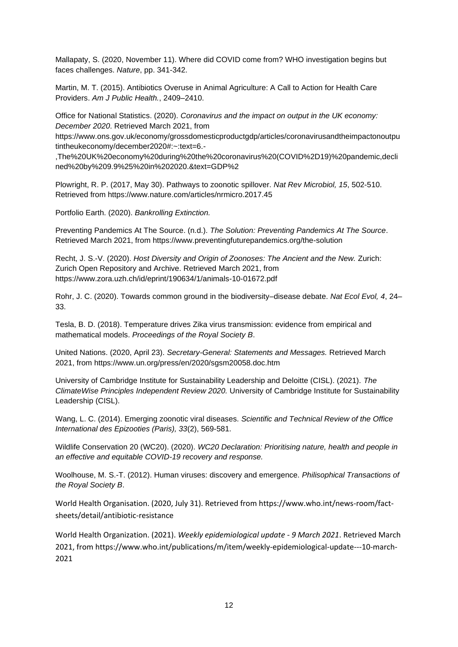Mallapaty, S. (2020, November 11). Where did COVID come from? WHO investigation begins but faces challenges. *Nature*, pp. 341-342.

Martin, M. T. (2015). Antibiotics Overuse in Animal Agriculture: A Call to Action for Health Care Providers. *Am J Public Health.*, 2409–2410.

Office for National Statistics. (2020). *Coronavirus and the impact on output in the UK economy: December 2020*. Retrieved March 2021, from

https://www.ons.gov.uk/economy/grossdomesticproductgdp/articles/coronavirusandtheimpactonoutpu tintheukeconomy/december2020#:~:text=6.-

,The%20UK%20economy%20during%20the%20coronavirus%20(COVID%2D19)%20pandemic,decli ned%20by%209.9%25%20in%202020.&text=GDP%2

Plowright, R. P. (2017, May 30). Pathways to zoonotic spillover. *Nat Rev Microbiol, 15*, 502-510. Retrieved from https://www.nature.com/articles/nrmicro.2017.45

Portfolio Earth. (2020). *Bankrolling Extinction.*

Preventing Pandemics At The Source. (n.d.). *The Solution: Preventing Pandemics At The Source*. Retrieved March 2021, from https://www.preventingfuturepandemics.org/the-solution

Recht, J. S.-V. (2020). *Host Diversity and Origin of Zoonoses: The Ancient and the New.* Zurich: Zurich Open Repository and Archive. Retrieved March 2021, from https://www.zora.uzh.ch/id/eprint/190634/1/animals-10-01672.pdf

Rohr, J. C. (2020). Towards common ground in the biodiversity–disease debate. *Nat Ecol Evol, 4*, 24– 33.

Tesla, B. D. (2018). Temperature drives Zika virus transmission: evidence from empirical and mathematical models. *Proceedings of the Royal Society B*.

United Nations. (2020, April 23). *Secretary-General: Statements and Messages.* Retrieved March 2021, from https://www.un.org/press/en/2020/sgsm20058.doc.htm

University of Cambridge Institute for Sustainability Leadership and Deloitte (CISL). (2021). *The ClimateWise Principles Independent Review 2020.* University of Cambridge Institute for Sustainability Leadership (CISL).

Wang, L. C. (2014). Emerging zoonotic viral diseases. *Scientific and Technical Review of the Office International des Epizooties (Paris), 33*(2), 569-581.

Wildlife Conservation 20 (WC20). (2020). *WC20 Declaration: Prioritising nature, health and people in an effective and equitable COVID-19 recovery and response.*

Woolhouse, M. S.-T. (2012). Human viruses: discovery and emergence. *Philisophical Transactions of the Royal Society B*.

World Health Organisation. (2020, July 31). Retrieved from https://www.who.int/news-room/factsheets/detail/antibiotic-resistance

World Health Organization. (2021). *Weekly epidemiological update - 9 March 2021*. Retrieved March 2021, from https://www.who.int/publications/m/item/weekly-epidemiological-update---10-march-2021